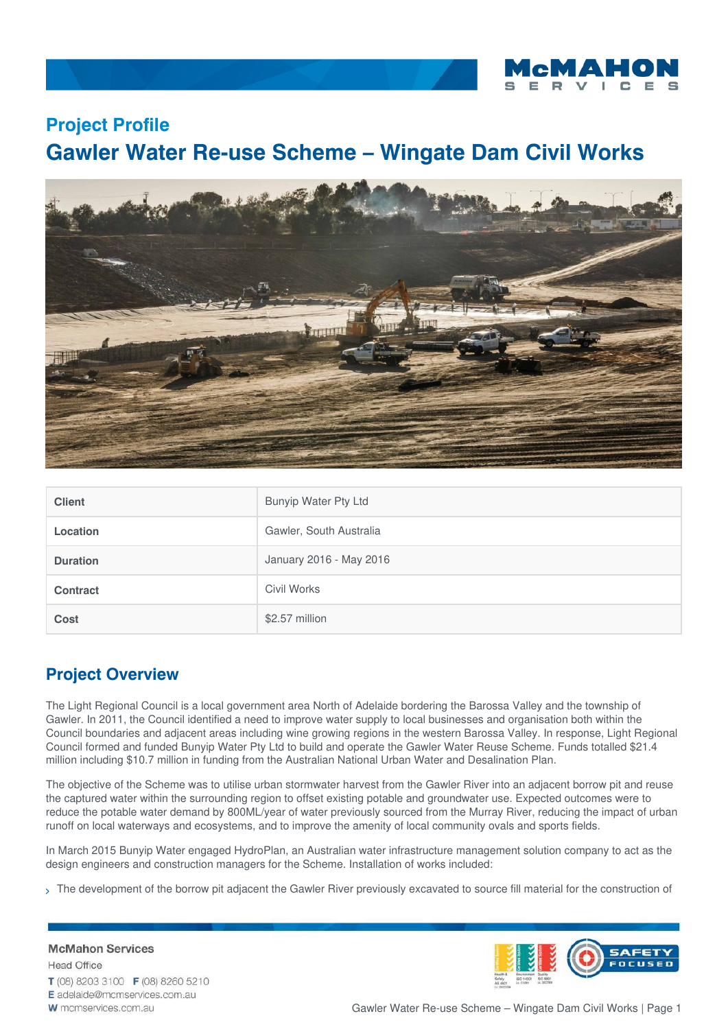

# **Project Profile Gawler Water Re-use Scheme – Wingate Dam Civil Works**



| <b>Client</b>   | Bunyip Water Pty Ltd    |
|-----------------|-------------------------|
| <b>Location</b> | Gawler, South Australia |
| <b>Duration</b> | January 2016 - May 2016 |
| <b>Contract</b> | Civil Works             |
| Cost            | \$2.57 million          |

# **Project Overview**

The Light Regional Council is a local government area North of Adelaide bordering the Barossa Valley and the township of Gawler. In 2011, the Council identified a need to improve water supply to local businesses and organisation both within the Council boundaries and adjacent areas including wine growing regions in the western Barossa Valley. In response, Light Regional Council formed and funded Bunyip Water Pty Ltd to build and operate the Gawler Water Reuse Scheme. Funds totalled \$21.4 million including \$10.7 million in funding from the Australian National Urban Water and Desalination Plan.

The objective of the Scheme was to utilise urban stormwater harvest from the Gawler River into an adjacent borrow pit and reuse the captured water within the surrounding region to offset existing potable and groundwater use. Expected outcomes were to reduce the potable water demand by 800ML/year of water previously sourced from the Murray River, reducing the impact of urban runoff on local waterways and ecosystems, and to improve the amenity of local community ovals and sports fields.

In March 2015 Bunyip Water engaged HydroPlan, an Australian water infrastructure management solution company to act as the design engineers and construction managers for the Scheme. Installation of works included:

> The development of the borrow pit adjacent the Gawler River previously excavated to source fill material for the construction of

**McMahon Services Head Office** 



T (08) 8203 3100 F (08) 8260 5210 E adelaide@mcmservices.com.au

W mcmservices.com.au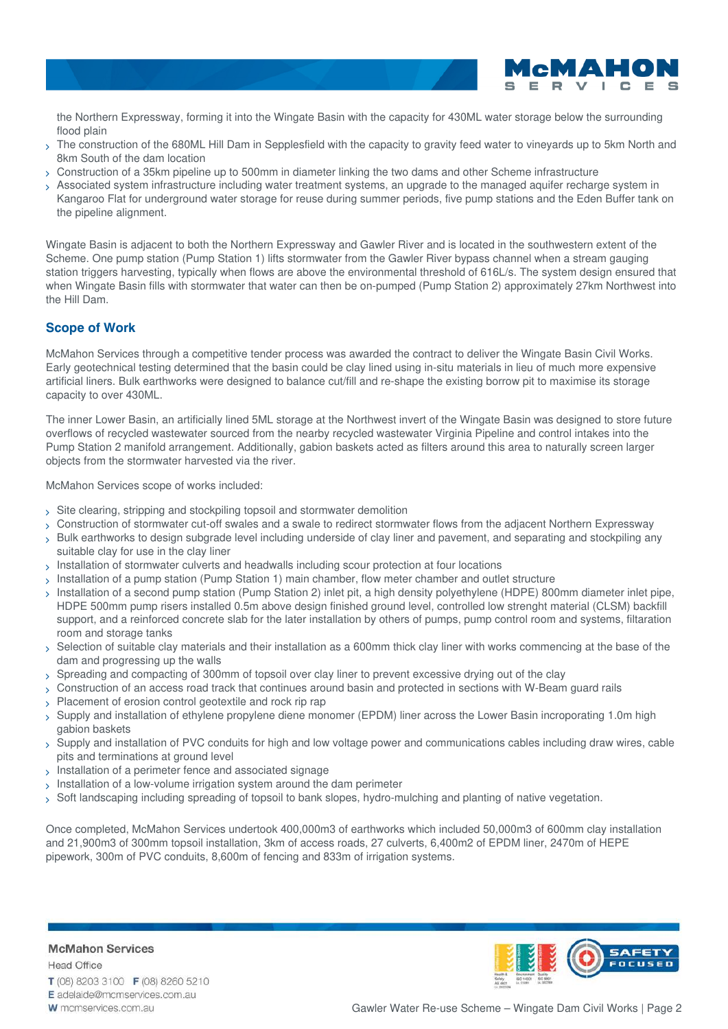

the Northern Expressway, forming it into the Wingate Basin with the capacity for 430ML water storage below the surrounding flood plain

- The construction of the 680ML Hill Dam in Sepplesfield with the capacity to gravity feed water to vineyards up to 5km North and 8km South of the dam location  $\mathbf{v}$
- Construction of a 35km pipeline up to 500mm in diameter linking the two dams and other Scheme infrastructure
- Associated system infrastructure including water treatment systems, an upgrade to the managed aquifer recharge system in Kangaroo Flat for underground water storage for reuse during summer periods, five pump stations and the Eden Buffer tank on the pipeline alignment.  $\mathbf{\bar{5}}$

Wingate Basin is adjacent to both the Northern Expressway and Gawler River and is located in the southwestern extent of the Scheme. One pump station (Pump Station 1) lifts stormwater from the Gawler River bypass channel when a stream gauging station triggers harvesting, typically when flows are above the environmental threshold of 616L/s. The system design ensured that when Wingate Basin fills with stormwater that water can then be on-pumped (Pump Station 2) approximately 27km Northwest into the Hill Dam.

# **Scope of Work**

McMahon Services through a competitive tender process was awarded the contract to deliver the Wingate Basin Civil Works. Early geotechnical testing determined that the basin could be clay lined using in-situ materials in lieu of much more expensive artificial liners. Bulk earthworks were designed to balance cut/fill and re-shape the existing borrow pit to maximise its storage capacity to over 430ML.

The inner Lower Basin, an artificially lined 5ML storage at the Northwest invert of the Wingate Basin was designed to store future overflows of recycled wastewater sourced from the nearby recycled wastewater Virginia Pipeline and control intakes into the Pump Station 2 manifold arrangement. Additionally, gabion baskets acted as filters around this area to naturally screen larger objects from the stormwater harvested via the river.

McMahon Services scope of works included:

- Site clearing, stripping and stockpiling topsoil and stormwater demolition
- Construction of stormwater cut-off swales and a swale to redirect stormwater flows from the adjacent Northern Expressway
- Bulk earthworks to design subgrade level including underside of clay liner and pavement, and separating and stockpiling any suitable clay for use in the clay liner
- $>$  Installation of stormwater culverts and headwalls including scour protection at four locations
- $>$  Installation of a pump station (Pump Station 1) main chamber, flow meter chamber and outlet structure
- $_>$  Installation of a second pump station (Pump Station 2) inlet pit, a high density polyethylene (HDPE) 800mm diameter inlet pipe, HDPE 500mm pump risers installed 0.5m above design finished ground level, controlled low strenght material (CLSM) backfill support, and a reinforced concrete slab for the later installation by others of pumps, pump control room and systems, filtaration room and storage tanks
- $_>}$  Selection of suitable clay materials and their installation as a 600mm thick clay liner with works commencing at the base of the dam and progressing up the walls
- Spreading and compacting of 300mm of topsoil over clay liner to prevent excessive drying out of the clay
- > Construction of an access road track that continues around basin and protected in sections with W-Beam guard rails
- > Placement of erosion control geotextile and rock rip rap
- $>$  Supply and installation of ethylene propylene diene monomer (EPDM) liner across the Lower Basin incroporating 1.0m high gabion baskets
- $>$  Supply and installation of PVC conduits for high and low voltage power and communications cables including draw wires, cable pits and terminations at ground level
- $_{\mathrm{\mathrm{\mathrm{\mathcal{S}}}}}$  Installation of a perimeter fence and associated signage
- Installation of a low-volume irrigation system around the dam perimeter
- Soft landscaping including spreading of topsoil to bank slopes, hydro-mulching and planting of native vegetation.

Once completed, McMahon Services undertook 400,000m3 of earthworks which included 50,000m3 of 600mm clay installation and 21,900m3 of 300mm topsoil installation, 3km of access roads, 27 culverts, 6,400m2 of EPDM liner, 2470m of HEPE pipework, 300m of PVC conduits, 8,600m of fencing and 833m of irrigation systems.

# **McMahon Services**

**Head Office** T (08) 8203 3100 F (08) 8260 5210 E adelaide@mcmservices.com.au W mcmservices.com.au

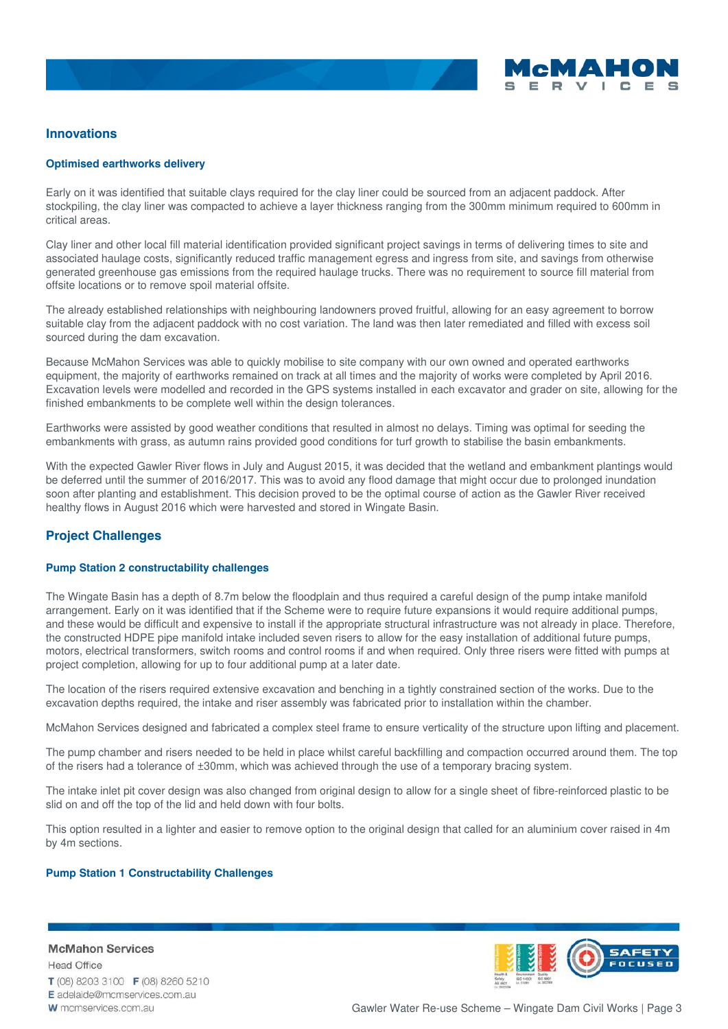

## **Innovations**

#### **Optimised earthworks delivery**

Early on it was identified that suitable clays required for the clay liner could be sourced from an adjacent paddock. After stockpiling, the clay liner was compacted to achieve a layer thickness ranging from the 300mm minimum required to 600mm in critical areas.

Clay liner and other local fill material identification provided significant project savings in terms of delivering times to site and associated haulage costs, significantly reduced traffic management egress and ingress from site, and savings from otherwise generated greenhouse gas emissions from the required haulage trucks. There was no requirement to source fill material from offsite locations or to remove spoil material offsite.

The already established relationships with neighbouring landowners proved fruitful, allowing for an easy agreement to borrow suitable clay from the adjacent paddock with no cost variation. The land was then later remediated and filled with excess soil sourced during the dam excavation.

Because McMahon Services was able to quickly mobilise to site company with our own owned and operated earthworks equipment, the majority of earthworks remained on track at all times and the majority of works were completed by April 2016. Excavation levels were modelled and recorded in the GPS systems installed in each excavator and grader on site, allowing for the finished embankments to be complete well within the design tolerances.

Earthworks were assisted by good weather conditions that resulted in almost no delays. Timing was optimal for seeding the embankments with grass, as autumn rains provided good conditions for turf growth to stabilise the basin embankments.

With the expected Gawler River flows in July and August 2015, it was decided that the wetland and embankment plantings would be deferred until the summer of 2016/2017. This was to avoid any flood damage that might occur due to prolonged inundation soon after planting and establishment. This decision proved to be the optimal course of action as the Gawler River received healthy flows in August 2016 which were harvested and stored in Wingate Basin.

## **Project Challenges**

#### **Pump Station 2 constructability challenges**

The Wingate Basin has a depth of 8.7m below the floodplain and thus required a careful design of the pump intake manifold arrangement. Early on it was identified that if the Scheme were to require future expansions it would require additional pumps, and these would be difficult and expensive to install if the appropriate structural infrastructure was not already in place. Therefore, the constructed HDPE pipe manifold intake included seven risers to allow for the easy installation of additional future pumps, motors, electrical transformers, switch rooms and control rooms if and when required. Only three risers were fitted with pumps at project completion, allowing for up to four additional pump at a later date.

The location of the risers required extensive excavation and benching in a tightly constrained section of the works. Due to the excavation depths required, the intake and riser assembly was fabricated prior to installation within the chamber.

McMahon Services designed and fabricated a complex steel frame to ensure verticality of the structure upon lifting and placement.

The pump chamber and risers needed to be held in place whilst careful backfilling and compaction occurred around them. The top of the risers had a tolerance of ±30mm, which was achieved through the use of a temporary bracing system.

The intake inlet pit cover design was also changed from original design to allow for a single sheet of fibre-reinforced plastic to be slid on and off the top of the lid and held down with four bolts.

This option resulted in a lighter and easier to remove option to the original design that called for an aluminium cover raised in 4m by 4m sections.

#### **Pump Station 1 Constructability Challenges**

**McMahon Services Head Office** T (08) 8203 3100 F (08) 8260 5210 E adelaide@mcmservices.com.au W mcmservices.com.au

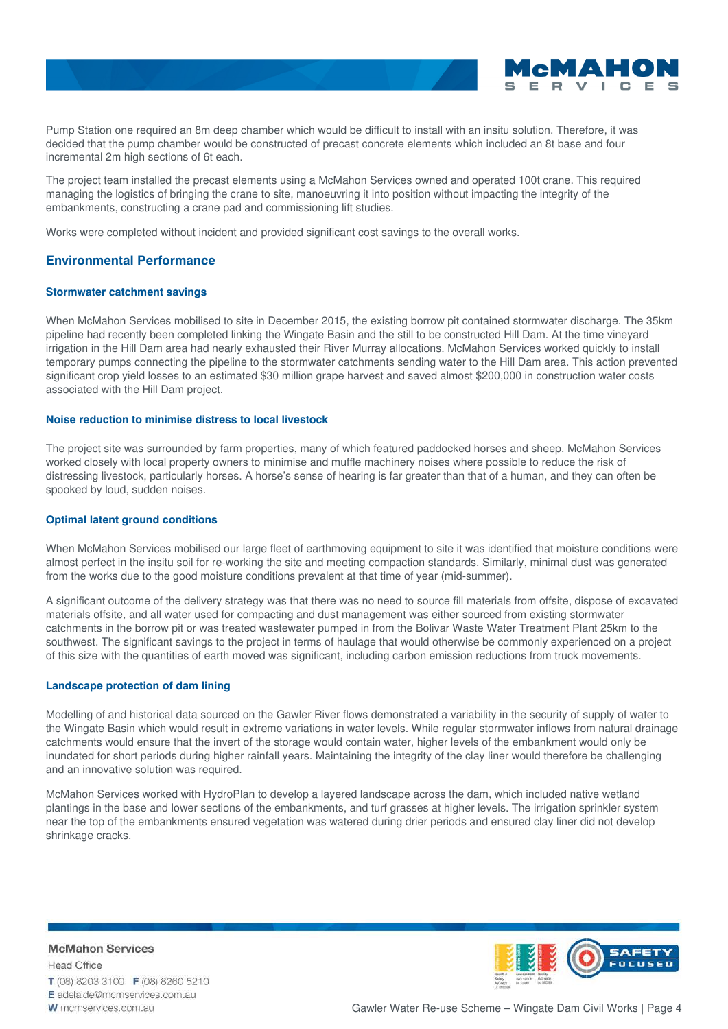

Pump Station one required an 8m deep chamber which would be difficult to install with an insitu solution. Therefore, it was decided that the pump chamber would be constructed of precast concrete elements which included an 8t base and four incremental 2m high sections of 6t each.

The project team installed the precast elements using a McMahon Services owned and operated 100t crane. This required managing the logistics of bringing the crane to site, manoeuvring it into position without impacting the integrity of the embankments, constructing a crane pad and commissioning lift studies.

Works were completed without incident and provided significant cost savings to the overall works.

# **Environmental Performance**

#### **Stormwater catchment savings**

When McMahon Services mobilised to site in December 2015, the existing borrow pit contained stormwater discharge. The 35km pipeline had recently been completed linking the Wingate Basin and the still to be constructed Hill Dam. At the time vineyard irrigation in the Hill Dam area had nearly exhausted their River Murray allocations. McMahon Services worked quickly to install temporary pumps connecting the pipeline to the stormwater catchments sending water to the Hill Dam area. This action prevented significant crop yield losses to an estimated \$30 million grape harvest and saved almost \$200,000 in construction water costs associated with the Hill Dam project.

#### **Noise reduction to minimise distress to local livestock**

The project site was surrounded by farm properties, many of which featured paddocked horses and sheep. McMahon Services worked closely with local property owners to minimise and muffle machinery noises where possible to reduce the risk of distressing livestock, particularly horses. A horse's sense of hearing is far greater than that of a human, and they can often be spooked by loud, sudden noises.

#### **Optimal latent ground conditions**

When McMahon Services mobilised our large fleet of earthmoving equipment to site it was identified that moisture conditions were almost perfect in the insitu soil for re-working the site and meeting compaction standards. Similarly, minimal dust was generated from the works due to the good moisture conditions prevalent at that time of year (mid-summer).

A significant outcome of the delivery strategy was that there was no need to source fill materials from offsite, dispose of excavated materials offsite, and all water used for compacting and dust management was either sourced from existing stormwater catchments in the borrow pit or was treated wastewater pumped in from the Bolivar Waste Water Treatment Plant 25km to the southwest. The significant savings to the project in terms of haulage that would otherwise be commonly experienced on a project of this size with the quantities of earth moved was significant, including carbon emission reductions from truck movements.

#### **Landscape protection of dam lining**

Modelling of and historical data sourced on the Gawler River flows demonstrated a variability in the security of supply of water to the Wingate Basin which would result in extreme variations in water levels. While regular stormwater inflows from natural drainage catchments would ensure that the invert of the storage would contain water, higher levels of the embankment would only be inundated for short periods during higher rainfall years. Maintaining the integrity of the clay liner would therefore be challenging and an innovative solution was required.

McMahon Services worked with HydroPlan to develop a layered landscape across the dam, which included native wetland plantings in the base and lower sections of the embankments, and turf grasses at higher levels. The irrigation sprinkler system near the top of the embankments ensured vegetation was watered during drier periods and ensured clay liner did not develop shrinkage cracks.

**McMahon Services Head Office** T (08) 8203 3100 F (08) 8260 5210 E adelaide@mcmservices.com.au W mcmservices.com.au

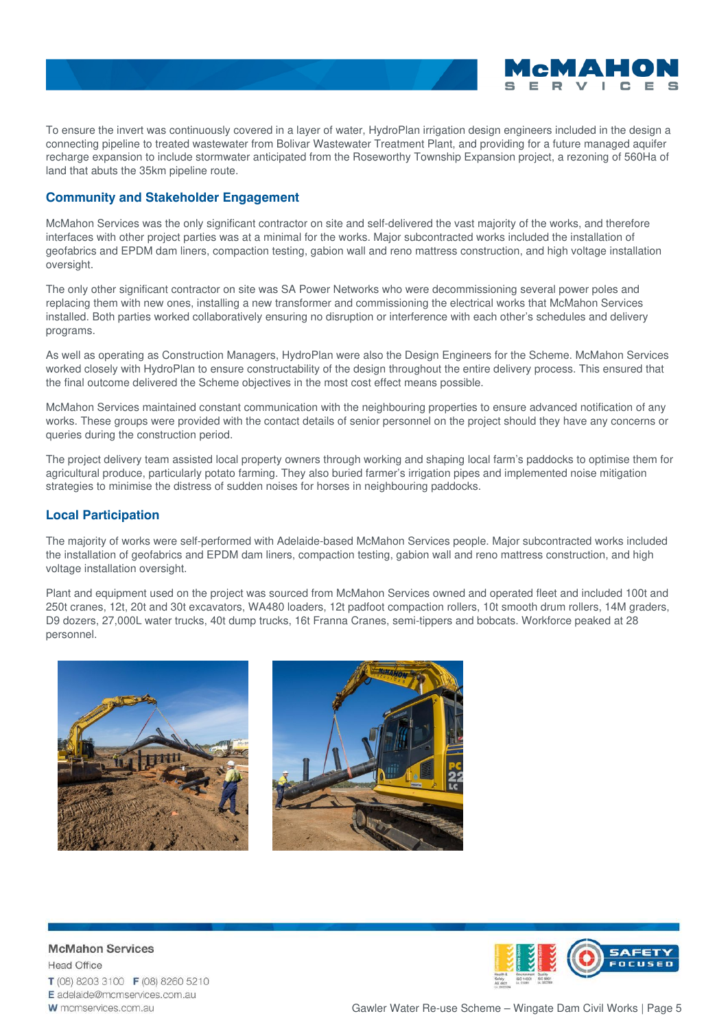

To ensure the invert was continuously covered in a layer of water, HydroPlan irrigation design engineers included in the design a connecting pipeline to treated wastewater from Bolivar Wastewater Treatment Plant, and providing for a future managed aquifer recharge expansion to include stormwater anticipated from the Roseworthy Township Expansion project, a rezoning of 560Ha of land that abuts the 35km pipeline route.

# **Community and Stakeholder Engagement**

McMahon Services was the only significant contractor on site and self-delivered the vast majority of the works, and therefore interfaces with other project parties was at a minimal for the works. Major subcontracted works included the installation of geofabrics and EPDM dam liners, compaction testing, gabion wall and reno mattress construction, and high voltage installation oversight.

The only other significant contractor on site was SA Power Networks who were decommissioning several power poles and replacing them with new ones, installing a new transformer and commissioning the electrical works that McMahon Services installed. Both parties worked collaboratively ensuring no disruption or interference with each other's schedules and delivery programs.

As well as operating as Construction Managers, HydroPlan were also the Design Engineers for the Scheme. McMahon Services worked closely with HydroPlan to ensure constructability of the design throughout the entire delivery process. This ensured that the final outcome delivered the Scheme objectives in the most cost effect means possible.

McMahon Services maintained constant communication with the neighbouring properties to ensure advanced notification of any works. These groups were provided with the contact details of senior personnel on the project should they have any concerns or queries during the construction period.

The project delivery team assisted local property owners through working and shaping local farm's paddocks to optimise them for agricultural produce, particularly potato farming. They also buried farmer's irrigation pipes and implemented noise mitigation strategies to minimise the distress of sudden noises for horses in neighbouring paddocks.

# **Local Participation**

The majority of works were self-performed with Adelaide-based McMahon Services people. Major subcontracted works included the installation of geofabrics and EPDM dam liners, compaction testing, gabion wall and reno mattress construction, and high voltage installation oversight.

Plant and equipment used on the project was sourced from McMahon Services owned and operated fleet and included 100t and 250t cranes, 12t, 20t and 30t excavators, WA480 loaders, 12t padfoot compaction rollers, 10t smooth drum rollers, 14M graders, D9 dozers, 27,000L water trucks, 40t dump trucks, 16t Franna Cranes, semi-tippers and bobcats. Workforce peaked at 28 personnel.





**McMahon Services Head Office** T (08) 8203 3100 F (08) 8260 5210 E adelaide@mcmservices.com.au W mcmservices.com.au